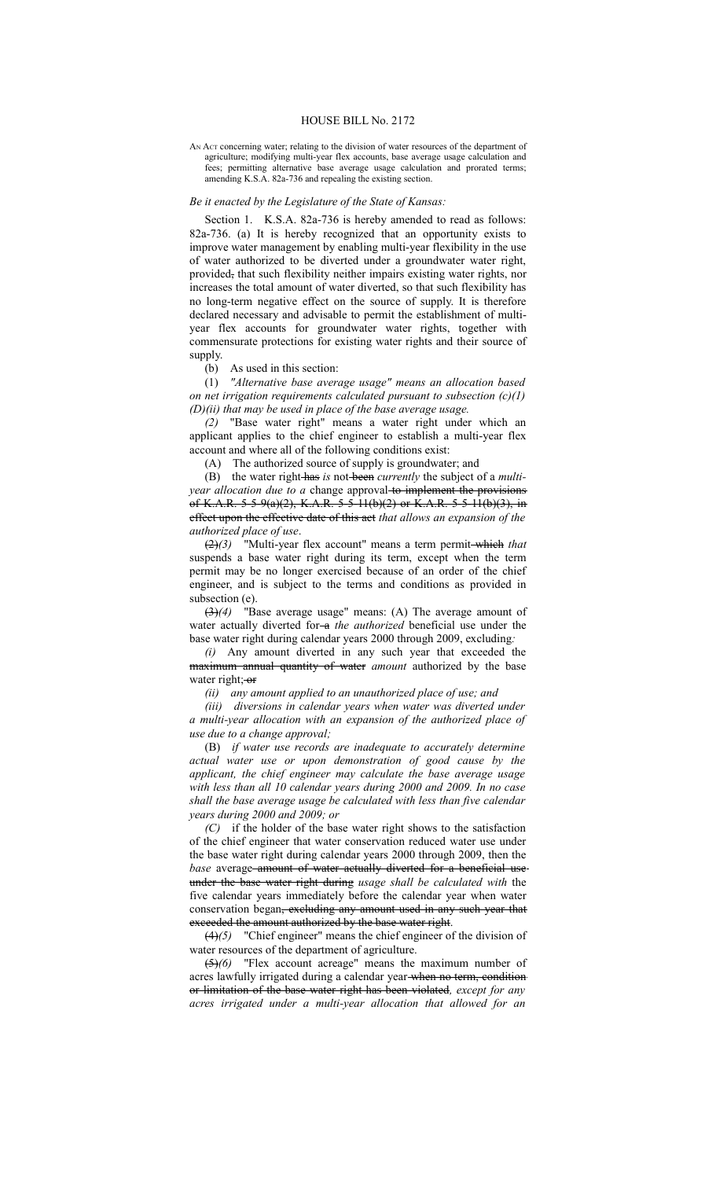## HOUSE BILL No. 2172

AN ACT concerning water; relating to the division of water resources of the department of agriculture; modifying multi-year flex accounts, base average usage calculation and fees; permitting alternative base average usage calculation and prorated terms; amending K.S.A. 82a-736 and repealing the existing section.

## *Be it enacted by the Legislature of the State of Kansas:*

Section 1. K.S.A. 82a-736 is hereby amended to read as follows: 82a-736. (a) It is hereby recognized that an opportunity exists to improve water management by enabling multi-year flexibility in the use of water authorized to be diverted under a groundwater water right, provided, that such flexibility neither impairs existing water rights, nor increases the total amount of water diverted, so that such flexibility has no long-term negative effect on the source of supply. It is therefore declared necessary and advisable to permit the establishment of multiyear flex accounts for groundwater water rights, together with commensurate protections for existing water rights and their source of supply.

(b) As used in this section:

(1) *"Alternative base average usage" means an allocation based on net irrigation requirements calculated pursuant to subsection (c)(1) (D)(ii) that may be used in place of the base average usage.*

*(2)* "Base water right" means a water right under which an applicant applies to the chief engineer to establish a multi-year flex account and where all of the following conditions exist:

(A) The authorized source of supply is groundwater; and

(B) the water right has *is* not been *currently* the subject of a *multiyear allocation due to a* change approval to implement the provisions of K.A.R. 5-5-9(a)(2), K.A.R. 5-5-11(b)(2) or K.A.R. 5-5-11(b)(3), in effect upon the effective date of this act *that allows an expansion of the authorized place of use*.

(2)*(3)* "Multi-year flex account" means a term permit which *that* suspends a base water right during its term, except when the term permit may be no longer exercised because of an order of the chief engineer, and is subject to the terms and conditions as provided in subsection (e).

(3)*(4)* "Base average usage" means: (A) The average amount of water actually diverted for-a *the authorized* beneficial use under the base water right during calendar years 2000 through 2009, excluding*:*

*(i)* Any amount diverted in any such year that exceeded the maximum annual quantity of water *amount* authorized by the base water right: or

*(ii) any amount applied to an unauthorized place of use; and*

*(iii) diversions in calendar years when water was diverted under a multi-year allocation with an expansion of the authorized place of use due to a change approval;*

(B) *if water use records are inadequate to accurately determine actual water use or upon demonstration of good cause by the applicant, the chief engineer may calculate the base average usage with less than all 10 calendar years during 2000 and 2009. In no case shall the base average usage be calculated with less than five calendar years during 2000 and 2009; or*

*(C)* if the holder of the base water right shows to the satisfaction of the chief engineer that water conservation reduced water use under the base water right during calendar years 2000 through 2009, then the *base* average amount of water actually diverted for a beneficial useunder the base water right during *usage shall be calculated with* the five calendar years immediately before the calendar year when water conservation began, excluding any amount used in any such year that exceeded the amount authorized by the base water right.

(4)*(5)* "Chief engineer" means the chief engineer of the division of water resources of the department of agriculture.

(5)*(6)* "Flex account acreage" means the maximum number of acres lawfully irrigated during a calendar year-when no term, condition or limitation of the base water right has been violated*, except for any acres irrigated under a multi-year allocation that allowed for an*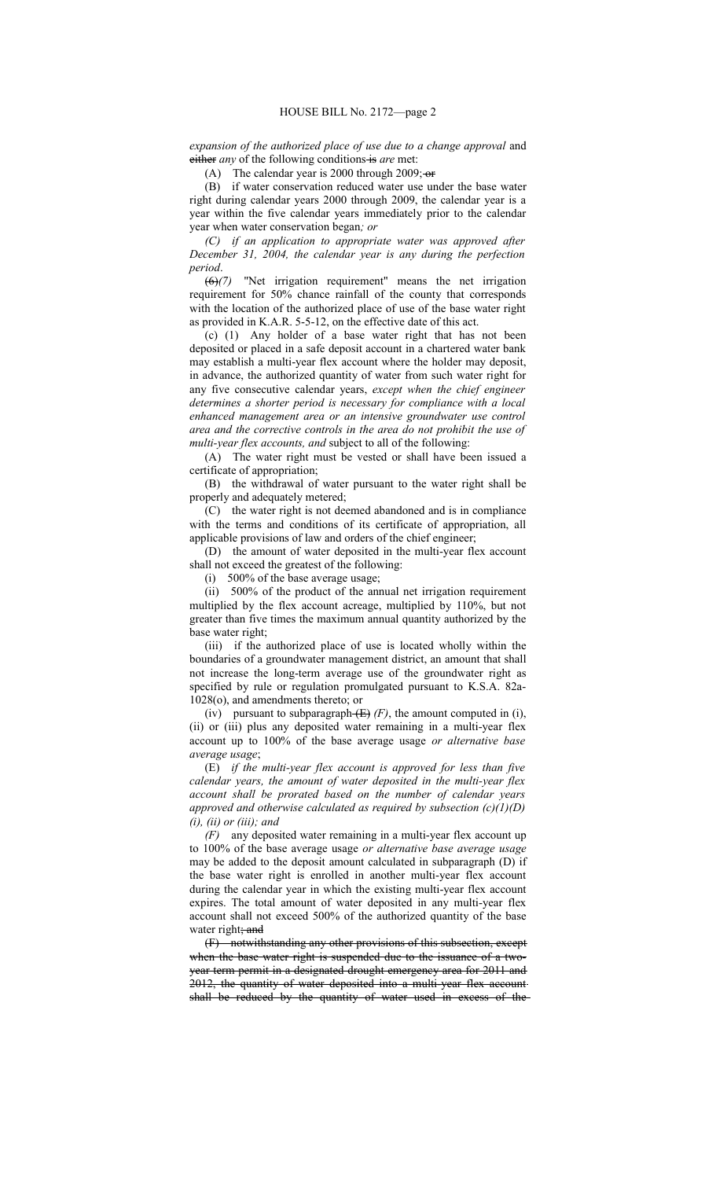*expansion of the authorized place of use due to a change approval* and either *any* of the following conditions is *are* met:

(A) The calendar year is 2000 through 2009;  $\overline{\text{or}}$ 

(B) if water conservation reduced water use under the base water right during calendar years 2000 through 2009, the calendar year is a year within the five calendar years immediately prior to the calendar year when water conservation began*; or*

*(C) if an application to appropriate water was approved after December 31, 2004, the calendar year is any during the perfection period*.

(6)*(7)* "Net irrigation requirement" means the net irrigation requirement for 50% chance rainfall of the county that corresponds with the location of the authorized place of use of the base water right as provided in K.A.R. 5-5-12, on the effective date of this act.

(c) (1) Any holder of a base water right that has not been deposited or placed in a safe deposit account in a chartered water bank may establish a multi-year flex account where the holder may deposit, in advance, the authorized quantity of water from such water right for any five consecutive calendar years, *except when the chief engineer determines a shorter period is necessary for compliance with a local enhanced management area or an intensive groundwater use control area and the corrective controls in the area do not prohibit the use of multi-year flex accounts, and* subject to all of the following:

(A) The water right must be vested or shall have been issued a certificate of appropriation;

(B) the withdrawal of water pursuant to the water right shall be properly and adequately metered;

(C) the water right is not deemed abandoned and is in compliance with the terms and conditions of its certificate of appropriation, all applicable provisions of law and orders of the chief engineer;

(D) the amount of water deposited in the multi-year flex account shall not exceed the greatest of the following:

(i) 500% of the base average usage;

(ii) 500% of the product of the annual net irrigation requirement multiplied by the flex account acreage, multiplied by 110%, but not greater than five times the maximum annual quantity authorized by the base water right;

(iii) if the authorized place of use is located wholly within the boundaries of a groundwater management district, an amount that shall not increase the long-term average use of the groundwater right as specified by rule or regulation promulgated pursuant to K.S.A. 82a-1028(o), and amendments thereto; or

(iv) pursuant to subparagraph  $(E)$  (F), the amount computed in (i), (ii) or (iii) plus any deposited water remaining in a multi-year flex account up to 100% of the base average usage *or alternative base average usage*;

(E) *if the multi-year flex account is approved for less than five calendar years, the amount of water deposited in the multi-year flex account shall be prorated based on the number of calendar years approved and otherwise calculated as required by subsection (c)(1)(D) (i), (ii) or (iii); and*

*(F)* any deposited water remaining in a multi-year flex account up to 100% of the base average usage *or alternative base average usage* may be added to the deposit amount calculated in subparagraph (D) if the base water right is enrolled in another multi-year flex account during the calendar year in which the existing multi-year flex account expires. The total amount of water deposited in any multi-year flex account shall not exceed 500% of the authorized quantity of the base water right; and

(F) notwithstanding any other provisions of this subsection, except when the base water right is suspended due to the issuance of a twoyear term permit in a designated drought emergency area for 2011 and 2012, the quantity of water deposited into a multi-year flex account shall be reduced by the quantity of water used in excess of the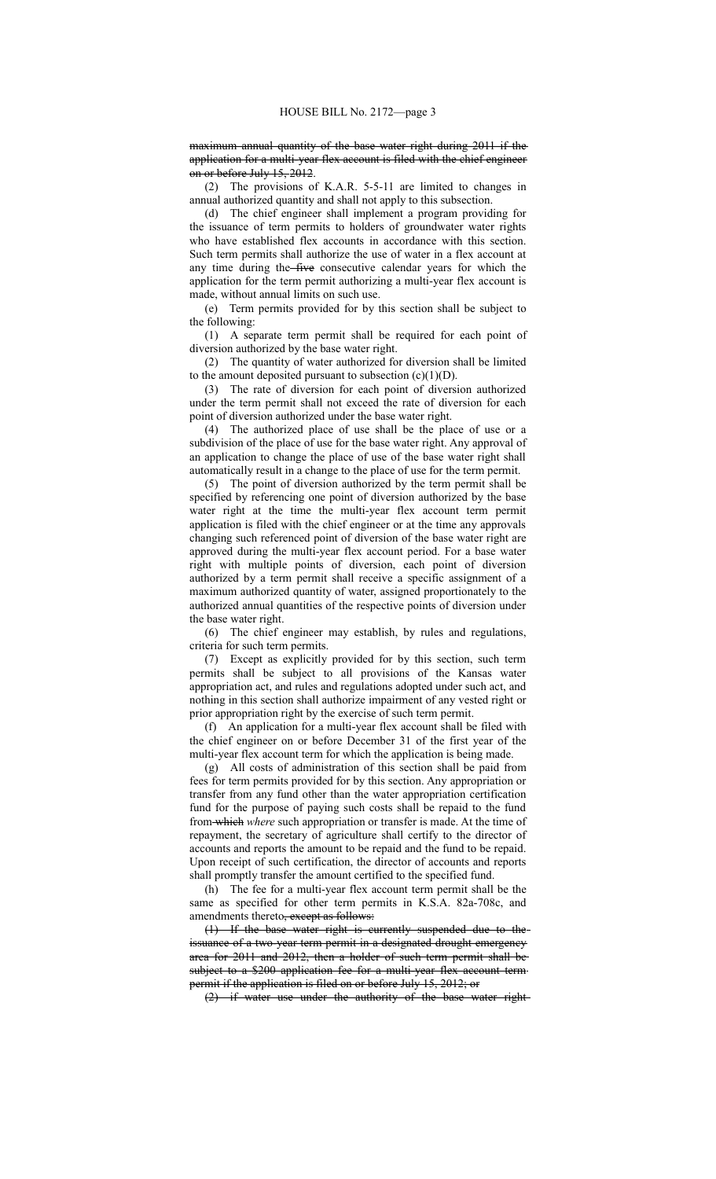maximum annual quantity of the base water right during 2011 if the application for a multi-year flex account is filed with the chief engineer on or before July 15, 2012.

(2) The provisions of K.A.R. 5-5-11 are limited to changes in annual authorized quantity and shall not apply to this subsection.

(d) The chief engineer shall implement a program providing for the issuance of term permits to holders of groundwater water rights who have established flex accounts in accordance with this section. Such term permits shall authorize the use of water in a flex account at any time during the five consecutive calendar years for which the application for the term permit authorizing a multi-year flex account is made, without annual limits on such use.

(e) Term permits provided for by this section shall be subject to the following:

(1) A separate term permit shall be required for each point of diversion authorized by the base water right.

(2) The quantity of water authorized for diversion shall be limited to the amount deposited pursuant to subsection  $(c)(1)(D)$ .

(3) The rate of diversion for each point of diversion authorized under the term permit shall not exceed the rate of diversion for each point of diversion authorized under the base water right.

(4) The authorized place of use shall be the place of use or a subdivision of the place of use for the base water right. Any approval of an application to change the place of use of the base water right shall automatically result in a change to the place of use for the term permit.

(5) The point of diversion authorized by the term permit shall be specified by referencing one point of diversion authorized by the base water right at the time the multi-year flex account term permit application is filed with the chief engineer or at the time any approvals changing such referenced point of diversion of the base water right are approved during the multi-year flex account period. For a base water right with multiple points of diversion, each point of diversion authorized by a term permit shall receive a specific assignment of a maximum authorized quantity of water, assigned proportionately to the authorized annual quantities of the respective points of diversion under the base water right.

(6) The chief engineer may establish, by rules and regulations, criteria for such term permits.

(7) Except as explicitly provided for by this section, such term permits shall be subject to all provisions of the Kansas water appropriation act, and rules and regulations adopted under such act, and nothing in this section shall authorize impairment of any vested right or prior appropriation right by the exercise of such term permit.

(f) An application for a multi-year flex account shall be filed with the chief engineer on or before December 31 of the first year of the multi-year flex account term for which the application is being made.

(g) All costs of administration of this section shall be paid from fees for term permits provided for by this section. Any appropriation or transfer from any fund other than the water appropriation certification fund for the purpose of paying such costs shall be repaid to the fund from which *where* such appropriation or transfer is made. At the time of repayment, the secretary of agriculture shall certify to the director of accounts and reports the amount to be repaid and the fund to be repaid. Upon receipt of such certification, the director of accounts and reports shall promptly transfer the amount certified to the specified fund.

(h) The fee for a multi-year flex account term permit shall be the same as specified for other term permits in K.S.A. 82a-708c, and amendments thereto, except as follows:

(1) If the base water right is currently suspended due to the issuance of a two-year term permit in a designated drought emergency area for 2011 and 2012, then a holder of such term permit shall be subject to a \$200 application fee for a multi-year flex account term permit if the application is filed on or before July 15, 2012; or

(2) if water use under the authority of the base water right